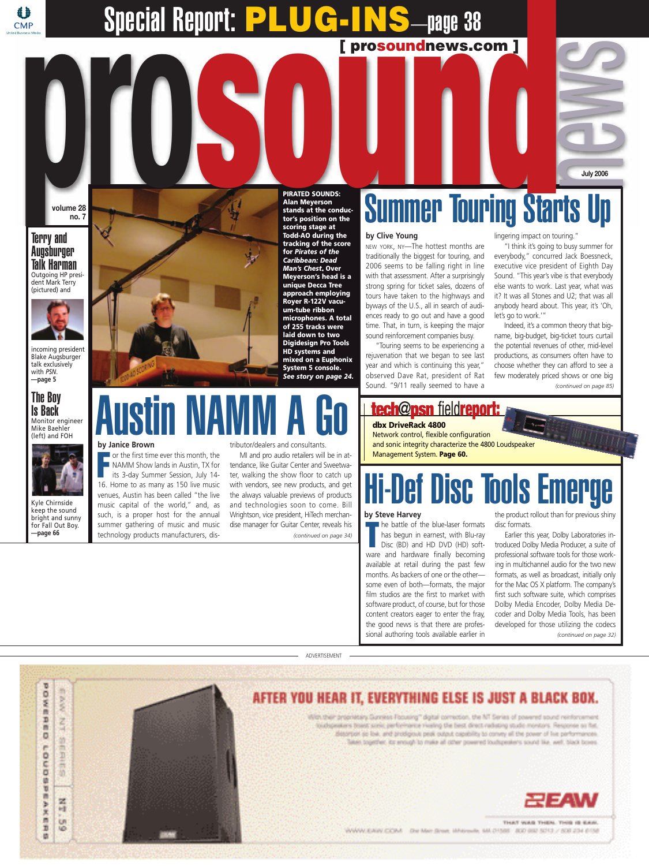## **[ prosoundnews.com ]** Special Report: **PLUG-INS**—page 38

**volume 28 no. 7**

#### Terry and Augsburger Talk Harman Outgoing HP president Mark Terry (pictured) and

4 **CMP** 



incoming president Blake Augsburger talk exclusively with *PSN*. **—page 5**

#### The Boy Is Back Monitor engineer Mike Baehler (left) and FOH



Kyle Chirnside keep the sound bright and sunny for Fall Out Boy. **—page 66**



**PIRATED SOUNDS: Alan Meyerson stands at the conductor's position on the scoring stage at Todd-AO during the tracking of the score for** *Pirates of the Caribbean: Dead Man's Chest***. Over Meyerson's head is a unique Decca Tree approach employing Royer R-122V vacuum-tube ribbon microphones. A total of 255 tracks were laid down to two Digidesign Pro Tools HD systems and mixed on a Euphonix System 5 console.** *See story on page 24.*

# Austin NAMM A Go

#### **by Janice Brown**

**F** or the first time ever this month, the NAMM Show lands in Austin, TX for its 3-day Summer Session, July 14- 16. Home to as many as 150 live music venues, Austin has been called "the live music capital of the world," and, as such, is a proper host for the annual summer gathering of music and music technology products manufacturers, distributor/dealers and consultants.

MI and pro audio retailers will be in attendance, like Guitar Center and Sweetwater, walking the show floor to catch up with vendors, see new products, and get the always valuable previews of products and technologies soon to come. Bill Wrightson, vice president, HiTech merchandise manager for Guitar Center, reveals his *(continued on page 34)*

# Summer Touring Starts Up **I**<br>Star

#### **by Clive Young**

NEW YORK, NY—The hottest months are traditionally the biggest for touring, and 2006 seems to be falling right in line with that assessment. After a surprisingly strong spring for ticket sales, dozens of tours have taken to the highways and byways of the U.S., all in search of audiences ready to go out and have a good time. That, in turn, is keeping the major sound reinforcement companies busy.

"Touring seems to be experiencing a rejuvenation that we began to see last year and which is continuing this year," observed Dave Rat, president of Rat Sound. "9/11 really seemed to have a

lingering impact on touring."

"I think it's going to busy summer for everybody," concurred Jack Boessneck, executive vice president of Eighth Day Sound. "This year's vibe is that everybody else wants to work. Last year, what was it? It was all Stones and U2; that was all anybody heard about. This year, it's 'Oh, let's go to work.'"

Indeed, it's a common theory that bigname, big-budget, big-ticket tours curtail the potential revenues of other, mid-level productions, as consumers often have to choose whether they can afford to see a few moderately priced shows or one big *(continued on page 85)*

### **tech**@**psn** field**report:**

Management System. **Page 60.**

**dbx DriveRack 4800** Network control, flexible configuration and sonic integrity characterize the 4800 Loudspeaker

## Hi-Def Disc Tools Emerge

#### **by Steve Harvey**

**T** he battle of the blue-laser formats has begun in earnest, with Blu-ray Disc (BD) and HD DVD (HD) software and hardware finally becoming available at retail during the past few months. As backers of one or the other some even of both—formats, the major film studios are the first to market with software product, of course, but for those content creators eager to enter the fray, the good news is that there are professional authoring tools available earlier in

the product rollout than for previous shiny disc formats.

Earlier this year, Dolby Laboratories introduced Dolby Media Producer, a suite of professional software tools for those working in multichannel audio for the two new formats, as well as broadcast, initially only for the Mac OS X platform. The company's first such software suite, which comprises Dolby Media Encoder, Dolby Media Decoder and Dolby Media Tools, has been developed for those utilizing the codecs *(continued on page 32)*

ADVERTISEMENT





WWW.EARV.COM De Mel Shee, Milenair, MILO158E 400 BW 5013 / 808 234 6158